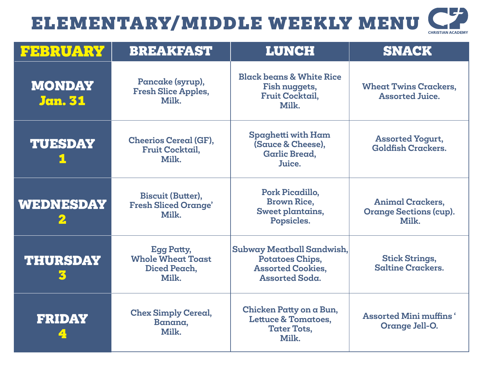## U ELEMENTARY/MIDDLE WEEKLY MENU **CHRISTIAN ACADEMY**

| <b>FEBRUARY</b>                 | <b>BREAKFAST</b>                                                       | <b>LUNCH</b>                                                                                             | <b>SNACK</b>                                                      |
|---------------------------------|------------------------------------------------------------------------|----------------------------------------------------------------------------------------------------------|-------------------------------------------------------------------|
| <b>MONDAY</b><br><b>Jan. 31</b> | Pancake (syrup),<br><b>Fresh Slice Apples,</b><br>Milk.                | <b>Black beans &amp; White Rice</b><br>Fish nuggets,<br><b>Fruit Cocktail,</b><br>Milk.                  | <b>Wheat Twins Crackers,</b><br><b>Assorted Juice.</b>            |
| <b>TUESDAY</b>                  | <b>Cheerios Cereal (GF),</b><br><b>Fruit Cocktail,</b><br>Milk.        | Spaghetti with Ham<br>(Sauce & Cheese),<br><b>Garlic Bread,</b><br>Juice.                                | <b>Assorted Yogurt,</b><br><b>Goldfish Crackers.</b>              |
| <b>WEDNESDAY</b>                | <b>Biscuit (Butter),</b><br><b>Fresh Sliced Orange'</b><br>Milk.       | Pork Picadillo,<br><b>Brown Rice,</b><br>Sweet plantains,<br>Popsicles.                                  | <b>Animal Crackers,</b><br><b>Orange Sections (cup).</b><br>Milk. |
| <b>THURSDAY</b>                 | <b>Egg Patty,</b><br><b>Whole Wheat Toast</b><br>Diced Peach,<br>Milk. | Subway Meatball Sandwish,<br><b>Potatoes Chips,</b><br><b>Assorted Cookies,</b><br><b>Assorted Soda.</b> | <b>Stick Strings,</b><br><b>Saltine Crackers.</b>                 |
| <b>FRIDAY</b>                   | <b>Chex Simply Cereal,</b><br>Banana,<br>Milk.                         | Chicken Patty on a Bun,<br><b>Lettuce &amp; Tomatoes,</b><br>Tater Tots,<br>Milk.                        | <b>Assorted Mini muffins</b> '<br>Orange Jell-O.                  |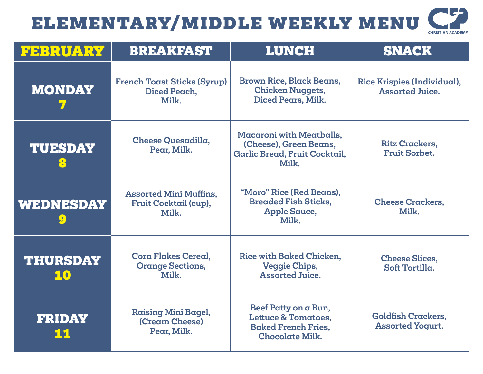## ELEMENTARY/MIDDLE WEEKLY MENU

| <b>CHRISTIAN ACADEMY</b> |
|--------------------------|

| FEBRUARY                       | <b>BREAKFAST</b>                                                | <b>LUNCH</b>                                                                                                   | <b>SNACK</b>                                          |
|--------------------------------|-----------------------------------------------------------------|----------------------------------------------------------------------------------------------------------------|-------------------------------------------------------|
| <b>MONDAY</b>                  | <b>French Toast Sticks (Syrup)</b><br>Diced Peach,<br>Milk.     | <b>Brown Rice, Black Beans,</b><br><b>Chicken Nuggets,</b><br>Diced Pears, Milk.                               | Rice Krispies (Individual),<br><b>Assorted Juice.</b> |
| <b>TUESDAY</b><br>$\mathbf{S}$ | Cheese Quesadilla,<br>Pear, Milk.                               | <b>Macaroni with Meatballs,</b><br>(Cheese), Green Beans,<br>Garlic Bread, Fruit Cocktail,<br>Milk.            | <b>Ritz Crackers,</b><br><b>Fruit Sorbet.</b>         |
| WEDNESDAY                      | <b>Assorted Mini Muffins,</b><br>Fruit Cocktail (cup),<br>Milk. | "Moro" Rice (Red Beans),<br><b>Breaded Fish Sticks,</b><br><b>Apple Sauce,</b><br>Milk.                        | <b>Cheese Crackers,</b><br>Milk.                      |
| <b>THURSDAY</b><br>10          | <b>Corn Flakes Cereal.</b><br><b>Orange Sections,</b><br>Milk.  | Rice with Baked Chicken.<br><b>Veggie Chips,</b><br><b>Assorted Juice.</b>                                     | <b>Cheese Slices,</b><br>Soft Tortilla.               |
| <b>FRIDAY</b><br><u> 11</u>    | <b>Raising Mini Bagel,</b><br>(Cream Cheese)<br>Pear, Milk.     | Beef Patty on a Bun,<br><b>Lettuce &amp; Tomatoes,</b><br><b>Baked French Fries,</b><br><b>Chocolate Milk.</b> | <b>Goldfish Crackers,</b><br><b>Assorted Yogurt.</b>  |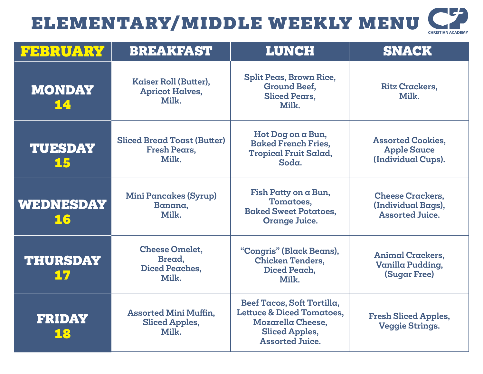## U ELEMENTARY/MIDDLE WEEKLY MENU **CHRISTIAN ACADEMY**

| <b>FEBRUARY</b>        | <b>BREAKFAST</b>                                                          | <b>LUNCH</b>                                                                                                                                      | <b>SNACK</b>                                                            |
|------------------------|---------------------------------------------------------------------------|---------------------------------------------------------------------------------------------------------------------------------------------------|-------------------------------------------------------------------------|
| <b>MONDAY</b><br>14    | Kaiser Roll (Butter),<br><b>Apricot Halves,</b><br>Milk.                  | <b>Split Peas, Brown Rice,</b><br><b>Ground Beef.</b><br>Sliced Pears.<br>Milk.                                                                   | <b>Ritz Crackers,</b><br>Milk.                                          |
| <b>TUESDAY</b><br>15   | <b>Sliced Bread Toast (Butter)</b><br><b>Fresh Pears,</b><br>Milk.        | Hot Dog on a Bun,<br><b>Baked French Fries,</b><br><b>Tropical Fruit Salad,</b><br>Soda.                                                          | <b>Assorted Cookies,</b><br><b>Apple Sauce</b><br>(Individual Cups).    |
| <b>WEDNESDAY</b><br>16 | <b>Mini Pancakes (Syrup)</b><br>Banana,<br>Milk.                          | Fish Patty on a Bun,<br>Tomatoes,<br><b>Baked Sweet Potatoes,</b><br><b>Orange Juice.</b>                                                         | <b>Cheese Crackers,</b><br>(Individual Bags),<br><b>Assorted Juice.</b> |
| <b>THURSDAY</b><br>17  | <b>Cheese Omelet,</b><br><b>Bread</b> ,<br><b>Diced Peaches,</b><br>Milk. | "Congris" (Black Beans),<br><b>Chicken Tenders,</b><br>Diced Peach,<br>Milk.                                                                      | <b>Animal Crackers,</b><br>Vanilla Pudding,<br><b>(Sugar Free)</b>      |
| <b>FRIDAY</b><br>18    | <b>Assorted Mini Muffin,</b><br><b>Sliced Apples,</b><br>Milk.            | Beef Tacos, Soft Tortilla,<br><b>Lettuce &amp; Diced Tomatoes,</b><br><b>Mozarella Cheese,</b><br><b>Sliced Apples,</b><br><b>Assorted Juice.</b> | <b>Fresh Sliced Apples,</b><br><b>Veggie Strings.</b>                   |